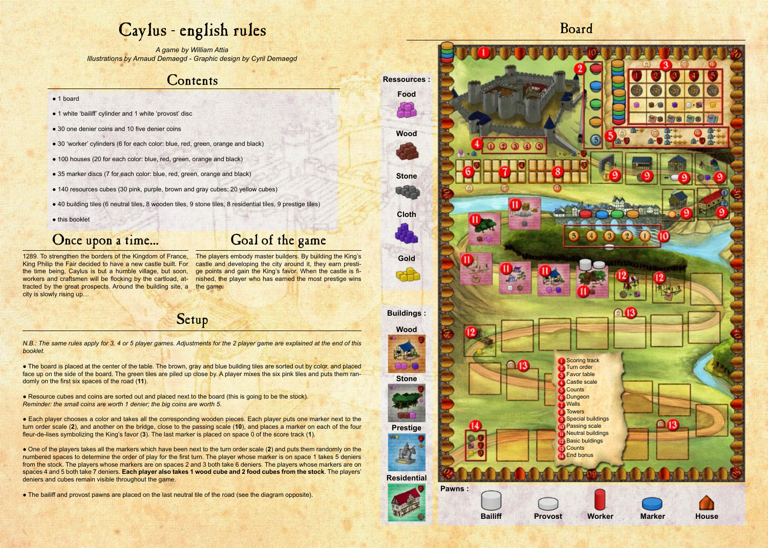The players embody master builders. By building the King's castle and developing the city around it, they earn prestige points and gain the King's favor. When the castle is finished, the player who has earned the most prestige wins

# Caylus - english rules

*A game by William Attia Illustrations by Arnaud Demaegd - Graphic design by Cyril Demaegd*

# **Contents**

#### tracted by the great prospects. Around the building site, a the game. 1289. To strengthen the borders of the Kingdom of France, King Philip the Fair decided to have a new castle built. For the time being, Caylus is but a humble village, but soon, workers and craftsmen will be flocking by the cartload, atcity is slowly rising up…

- 1 board
- 1 white 'bailiff' cylinder and 1 white 'provost' disc
- 30 one denier coins and 10 five denier coins
- 30 'worker' cylinders (6 for each color: blue, red, green, orange and black)
- 100 houses (20 for each color: blue, red, green, orange and black)
- 35 marker discs (7 for each color: blue, red, green, orange and black)
- 140 resources cubes (30 pink, purple, brown and gray cubes; 20 yellow cubes)
- 40 building tiles (6 neutral tiles, 8 wooden tiles, 9 stone tiles, 8 residential tiles, 9 prestige tiles)
- this booklet

# Once upon a time... Goal of the game

• Resource cubes and coins are sorted out and placed next to the board (this is going to be the stock). *Reminder: the small coins are worth 1 denier; the big coins are worth 5.*

Setup

*N.B.: The same rules apply for 3, 4 or 5 player games. Adjustments for the 2 player game are explained at the end of this booklet.*

● The board is placed at the center of the table. The brown, gray and blue building tiles are sorted out by color, and placed face up on the side of the board. The green tiles are piled up close by. A player mixes the six pink tiles and puts them randomly on the first six spaces of the road (**11**).

● Each player chooses a color and takes all the corresponding wooden pieces. Each player puts one marker next to the turn order scale (**2**), and another on the bridge, close to the passing scale (**10**), and places a marker on each of the four fleur-de-lises symbolizing the King's favor (**3**). The last marker is placed on space 0 of the score track (**1**).

● One of the players takes all the markers which have been next to the turn order scale (**2**) and puts them randomly on the numbered spaces to determine the order of play for the first turn. The player whose marker is on space 1 takes 5 deniers from the stock. The players whose markers are on spaces 2 and 3 both take 6 deniers. The players whose markers are on spaces 4 and 5 both take 7 deniers. **Each player also takes 1 wood cube and 2 food cubes from the stock**. The players' deniers and cubes remain visible throughout the game.

● The bailiff and provost pawns are placed on the last neutral tile of the road (see the diagram opposite).

Board

**Wood**

**Stone**

**Prestige**

**Residential**

**Food**

Ŋ.

**Wood**

**Stone**

**Cloth**

**Gold**



**Ressources :**

**Buildings :**





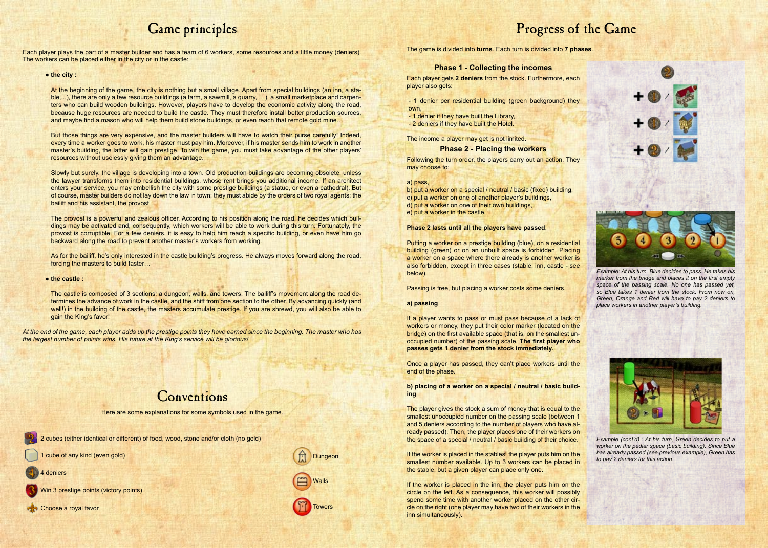# Game principles

At the beginning of the game, the city is nothing but a small village. Apart from special buildings (an inn, a stable,...), there are only a few resource buildings (a farm, a sawmill, a quarry, …), a small marketplace and carpenters who can build wooden buildings. However, players have to develop the economic activity along the road, because huge resources are needed to build the castle. They must therefore install better production sources, and maybe find a mason who will help them build stone buildings, or even reach that remote gold mine...

Each player plays the part of a master builder and has a team of 6 workers, some resources and a little money (deniers). The workers can be placed either in the city or in the castle:

#### ● **the city :**

But those things are very expensive, and the master builders will have to watch their purse carefully! Indeed, every time a worker goes to work, his master must pay him. Moreover, if his master sends him to work in another master's building, the latter will gain prestige. To win the game, you must take advantage of the other players' resources without uselessly giving them an advantage.

Slowly but surely, the village is developing into a town. Old production buildings are becoming obsolete, unless the lawyer transforms them into residential buildings, whose rent brings you additional income. If an architect enters your service, you may embellish the city with some prestige buildings (a statue, or even a cathedral). But of course, master builders do not lay down the law in town; they must abide by the orders of two royal agents: the bailiff and his assistant, the provost.

The provost is a powerful and zealous officer. According to his position along the road, he decides which buildings may be activated and, consequently, which workers will be able to work during this turn. Fortunately, the provost is corruptible. For a few deniers, it is easy to help him reach a specific building, or even have him go backward along the road to prevent another master's workers from working.

As for the bailiff, he's only interested in the castle building's progress. He always moves forward along the road, forcing the masters to build faster…

#### ● **the castle :**

The castle is composed of 3 sections: a dungeon, walls, and towers. The bailiff's movement along the road determines the advance of work in the castle, and the shift from one section to the other. By advancing quickly (and well!) in the building of the castle, the masters accumulate prestige. If you are shrewd, you will also be able to gain the King's favor!

*At the end of the game, each player adds up the prestige points they have earned since the beginning. The master who has the largest number of points wins. His future at the King's service will be glorious!* 

## **Conventions**

Here are some explanations for some symbols used in the game.

2 cubes (either identical or different) of food, wood, stone and/or cloth (no gold)

- cube of any kind (even gold)
- deniers
- Win 3 prestige points (victory points)
- **Re** Choose a royal favor



# Progress of the Game

The game is divided into **turns**. Each turn is divided into **7 phases**.

## **Phase 1 - Collecting the incomes**

Each player gets **2 deniers** from the stock. Furthermore, each player also gets:

- 1 denier per residential building (green background) they own,

- 1 denier if they have built the Library,
- 2 deniers if they have built the Hotel.

The income a player may get is not limited.

#### **Phase 2 - Placing the workers**

Following the turn order, the players carry out an action. They may choose to:

#### a) pass,

- b) put a worker on a special / neutral / basic (fixed) building,
- c) put a worker on one of another player's buildings,
- d) put a worker on one of their own buildings,
- e) put a worker in the castle.

#### **Phase 2 lasts until all the players have passed**.

Putting a worker on a prestige building (blue), on a residential building (green) or on an unbuilt space is forbidden. Placing a worker on a space where there already is another worker is also forbidden, except in three cases (stable, inn, castle - see below).

Passing is free, but placing a worker costs some deniers.

#### **a) passing**

If a player wants to pass or must pass because of a lack of workers or money, they put their color marker (located on the bridge) on the first available space (that is, on the smallest unoccupied number) of the passing scale. **The first player who passes gets 1 denier from the stock immediately.**

Once a player has passed, they can't place workers until the end of the phase.

**b) placing of a worker on a special / neutral / basic building**

The player gives the stock a sum of money that is equal to the smallest unoccupied number on the passing scale (between 1 and 5 deniers according to the number of players who have already passed). Then, the player places one of their workers on the space of a special / neutral / basic building of their choice.

If the worker is placed in the stables, the player puts him on the smallest number available. Up to 3 workers can be placed in the stable, but a given player can place only one.

If the worker is placed in the inn, the player puts him on the circle on the left. As a consequence, this worker will possibly spend some time with another worker placed on the other circle on the right (one player may have two of their workers in the inn simultaneously).



*Example: At his turn, Blue decides to pass. He takes his marker from the bridge and places it on the first empty space of the passing scale. No one has passed yet, so Blue takes 1 denier from the stock. From now on, Green, Orange and Red will have to pay 2 deniers to place workers in another player's building.*



*Example (cont'd) : At his turn, Green decides to put a worker on the pedlar space (basic building). Since Blue has already passed (see previous example), Green has to pay 2 deniers for this action.*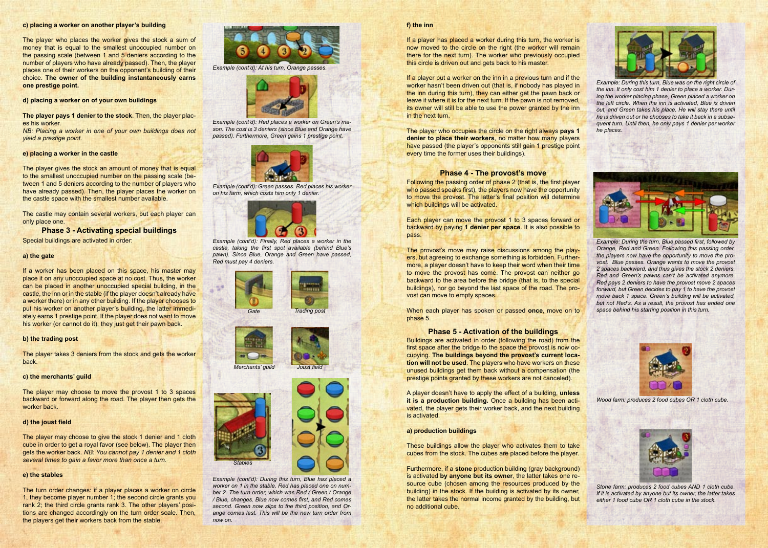#### **c) placing a worker on another player's building**

The player who places the worker gives the stock a sum of money that is equal to the smallest unoccupied number on the passing scale (between 1 and 5 deniers according to the number of players who have already passed). Then, the player places one of their workers on the opponent's building of their choice. **The owner of the building instantaneously earns one prestige point.**

**d) placing a worker on of your own buildings**

The player gives the stock an amount of money that is equal to the smallest unoccupied number on the passing scale (between 1 and 5 deniers according to the number of players who have already passed). Then, the player places the worker on the castle space with the smallest number available.

**The player pays 1 denier to the stock**. Then, the player places his worker.

*NB: Placing a worker in one of your own buildings does not yield a prestige point.*

#### **e) placing a worker in the castle**

If a worker has been placed on this space, his master may place it on any unoccupied space at no cost. Thus, the worker can be placed in another unoccupied special building, in the castle, the inn or in the stable (if the player doesn't already have a worker there) or in any other building. If the player chooses to put his worker on another player's building, the latter immediately earns 1 prestige point. If the player does not want to move his worker (or cannot do it), they just get their pawn back.

The castle may contain several workers, but each player can only place one.

**Phase 3 - Activating special buildings**

Special buildings are activated in order:

#### **a) the gate**

#### **b) the trading post**

The player takes 3 deniers from the stock and gets the worker back.

## **c) the merchants' guild**

The player may choose to move the provost 1 to 3 spaces backward or forward along the road. The player then gets the worker back.

#### **d) the joust field**

The player may choose to give the stock 1 denier and 1 cloth cube in order to get a royal favor (see below). The player then gets the worker back. *NB: You cannot pay 1 denier and 1 cloth several times to gain a favor more than once a turn.*

Following the passing order of phase 2 (that is, the first player who passed speaks first), the players now have the opportunity to move the provost. The latter's final position will determine which buildings will be activated.

#### **e) the stables**

The turn order changes: if a player places a worker on circle 1, they become player number 1; the second circle grants you rank 2; the third circle grants rank 3. The other players' positions are changed accordingly on the turn order scale. Then, the players get their workers back from the stable.



*Example (cont'd): At his turn, Orange passes.*



*Example (cont'd): Red places a worker on Green's mason. The cost is 3 deniers (since Blue and Orange have passed). Furthermore, Green gains 1 prestige point.*



*Example (cont'd): Green passes. Red places his worker on his farm, which costs him only 1 denier.*



*Example (cont'd): Finally, Red places a worker in the castle, taking the first spot available (behind Blue's pawn). Since Blue, Orange and Green have passed, Red must pay 4 deniers.*











*Example (cont'd): During this turn, Blue has placed a worker on 1 in the stable. Red has placed one on number 2. The turn order, which was Red / Green / Orange / Blue, changes. Blue now comes first, and Red comes second. Green now slips to the third position, and Orange comes last. This will be the new turn order from now on.*

#### **f) the inn**

If a player has placed a worker during this turn, the worker is now moved to the circle on the right (the worker will remain there for the next turn). The worker who previously occupied this circle is driven out and gets back to his master.

If a player put a worker on the inn in a previous turn and if the worker hasn't been driven out (that is, if nobody has played in the inn during this turn), they can either get the pawn back or leave it where it is for the next turn. If the pawn is not removed, its owner will still be able to use the power granted by the inn in the next turn.

The player who occupies the circle on the right always **pays 1 denier to place their workers**, no matter how many players have passed (the player's opponents still gain 1 prestige point every time the former uses their buildings).

## **Phase 4 - The provost's move**

Each player can move the provost 1 to 3 spaces forward or backward by paying **1 denier per space**. It is also possible to pass.

The provost's move may raise discussions among the players, but agreeing to exchange something is forbidden. Furthermore, a player doesn't have to keep their word when their time to move the provost has come. The provost can neither go backward to the area before the bridge (that is, to the special buildings), nor go beyond the last space of the road. The provost can move to empty spaces.

When each player has spoken or passed **once**, move on to phase 5.

#### **Phase 5 - Activation of the buildings**

Buildings are activated in order (following the road) from the first space after the bridge to the space the provost is now occupying. **The buildings beyond the provost's current location will not be used**. The players who have workers on these unused buildings get them back without a compensation (the prestige points granted by these workers are not canceled).

A player doesn't have to apply the effect of a building, **unless it is a production building.** Once a building has been activated, the player gets their worker back, and the next building is activated.

#### **a) production buildings**

These buildings allow the player who activates them to take cubes from the stock. The cubes are placed before the player.

Furthermore, if a **stone** production building (gray background) is activated **by anyone but its owner**, the latter takes one resource cube (chosen among the resources produced by the building) in the stock. If the building is activated by its owner, the latter takes the normal income granted by the building, but no additional cube.



*Example: During this turn, Blue was on the right circle of the inn. It only cost him 1 denier to place a worker. During the worker placing phase, Green placed a worker on the left circle. When the inn is activated, Blue is driven out, and Green takes his place. He will stay there until he is driven out or he chooses to take it back in a subsequent turn. Until then, he only pays 1 denier per worker he places.*



*Example: During the turn, Blue passed first, followed by Orange, Red and Green. Following this passing order, the players now have the opportunity to move the provost. Blue passes. Orange wants to move the provost 2 spaces backward, and thus gives the stock 2 deniers. Red and Green's pawns can't be activated anymore. Red pays 2 deniers to have the provost move 2 spaces forward, but Green decides to pay 1 to have the provost move back 1 space. Green's building will be activated, but not Red's. As a result, the provost has ended one space behind his starting position in this turn.*



*Wood farm: produces 2 food cubes OR 1 cloth cube.*



*Stone farm: produces 2 food cubes AND 1 cloth cube. If it is activated by anyone but its owner, the latter takes either 1 food cube OR 1 cloth cube in the stock.*

The Michael Andrew Construction of the Construction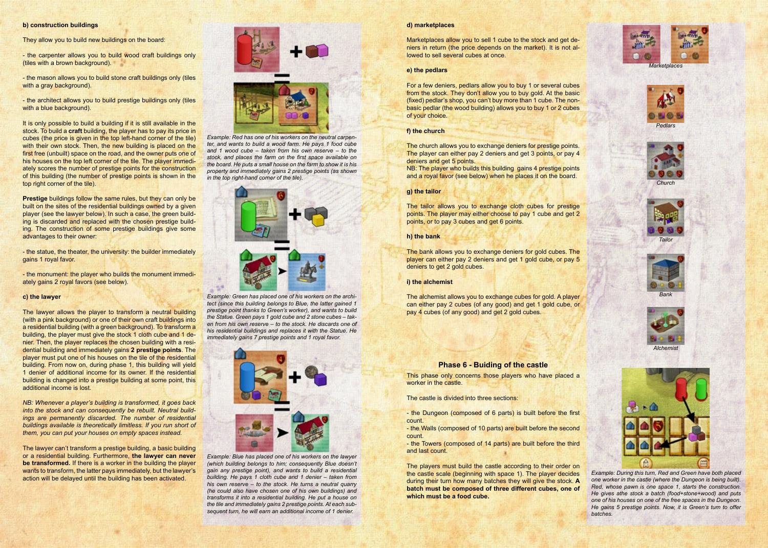#### **b) construction buildings**

They allow you to build new buildings on the board:

- the mason allows you to build stone craft buildings only (tiles with a gray background).

- the architect allows you to build prestige buildings only (tiles with a blue background).

- the carpenter allows you to build wood craft buildings only (tiles with a brown background).

**Prestige** buildings follow the same rules, but they can only be built on the sites of the residential buildings owned by a given player (see the lawyer below). In such a case, the green building is discarded and replaced with the chosen prestige building. The construction of some prestige buildings give some advantages to their owner:

It is only possible to build a building if it is still available in the stock. To build a **craft** building, the player has to pay its price in cubes (the price is given in the top left-hand corner of the tile) with their own stock. Then, the new building is placed on the first free (unbuilt) space on the road, and the owner puts one of his houses on the top left corner of the tile. The player immediately scores the number of prestige points for the construction of this building (the number of prestige points is shown in the top right corner of the tile).

- the statue, the theater, the university: the builder immediately gains 1 royal favor.

- the monument: the player who builds the monument immediately gains 2 royal favors (see below).

#### **c) the lawyer**

The lawyer allows the player to transform a neutral building (with a pink background) or one of their own craft buildings into a residential building (with a green background). To transform a building, the player must give the stock 1 cloth cube and 1 denier. Then, the player replaces the chosen building with a residential building and immediately gains **2 prestige points**. The player must put one of his houses on the tile of the residential building. From now on, during phase 1, this building will yield 1 denier of additional income for its owner. If the residential building is changed into a prestige building at some point, this additional income is lost.

Marketplaces allow you to sell 1 cube to the stock and get deniers in return (the price depends on the market). It is not allowed to sell several cubes at once.

*NB: Whenever a player's building is transformed, it goes back into the stock and can consequently be rebuilt. Neutral buildings are permanently discarded. The number of residential buildings available is theoretically limitless. If you run short of them, you can put your houses on empty spaces instead.*

NB: The player who builds this building gains 4 prestige points and a royal favor (see below) when he places it on the board.

The lawyer can't transform a prestige building, a basic building or a residential building. Furthermore, **the lawyer can never be transformed.** If there is a worker in the building the player wants to transform, the latter pays immediately, but the lawyer's action will be delayed until the building has been activated.



*Example: Red has one of his workers on the neutral carpenter, and wants to build a wood farm. He pays 1 food cube and 1 wood cube – taken from his own reserve – to the stock, and places the farm on the first space available on the board. He puts a small house on the farm to show it is his property and immediately gains 2 prestige points (as shown in the top right-hand corner of the tile).*



*Example: Green has placed one of his workers on the architect (since this building belongs to Blue, the latter gained 1 prestige point thanks to Green's worker), and wants to build the Statue. Green pays 1 gold cube and 2 stone cubes – taken from his own reserve – to the stock. He discards one of his residential buildings and replaces it with the Statue. He immediately gains 7 prestige points and 1 royal favor.*



*Example: Blue has placed one of his workers on the lawyer (which building belongs to him; consequently Blue doesn't gain any prestige point), and wants to build a residential building. He pays 1 cloth cube and 1 denier – taken from his own reserve – to the stock. He turns a neutral quarry (he could also have chosen one of his own buildings) and transforms it into a residential building. He put a house on the tile and immediately gains 2 prestige points. At each subsequent turn, he will earn an additional income of 1 denier.* 

#### **d) marketplaces**

#### **e) the pedlars**

For a few deniers, pedlars allow you to buy 1 or several cubes from the stock. They don't allow you to buy gold. At the basic (fixed) pedlar's shop, you can't buy more than 1 cube. The nonbasic pedlar (the wood building) allows you to buy 1 or 2 cubes of your choice.

#### **f) the church**

The church allows you to exchange deniers for prestige points. The player can either pay 2 deniers and get 3 points, or pay 4 deniers and get 5 points.

#### **g) the tailor**

The tailor allows you to exchange cloth cubes for prestige points. The player may either choose to pay 1 cube and get 2 points, or to pay 3 cubes and get 6 points.

#### **h) the bank**

The bank allows you to exchange deniers for gold cubes. The player can either pay 2 deniers and get 1 gold cube, or pay 5 deniers to get 2 gold cubes.

#### **i) the alchemist**

The alchemist allows you to exchange cubes for gold. A player can either pay 2 cubes (of any good) and get 1 gold cube, or pay 4 cubes (of any good) and get 2 gold cubes.

## **Phase 6 - Buiding of the castle**

This phase only concerns those players who have placed a worker in the castle.

The castle is divided into three sections:

- the Dungeon (composed of 6 parts) is built before the first count.

- the Walls (composed of 10 parts) are built before the second count.

- the Towers (composed of 14 parts) are built before the third and last count.

The players must build the castle according to their order on the castle scale (beginning with space 1). The player decides during their turn how many batches they will give the stock. **A batch must be composed of three different cubes, one of which must be a food cube.** 

*Example: During this turn, Red and Green have both placed one worker in the castle (where the Dungeon is being built). Red, whose pawn is one space 1, starts the construction. He gives athe stock a batch (food+stone+wood) and puts one of his houses on one of the free spaces in the Dungeon. He gains 5 prestige points. Now, it is Green's turn to offer batches.*





*Pedlars*





*Tailor*





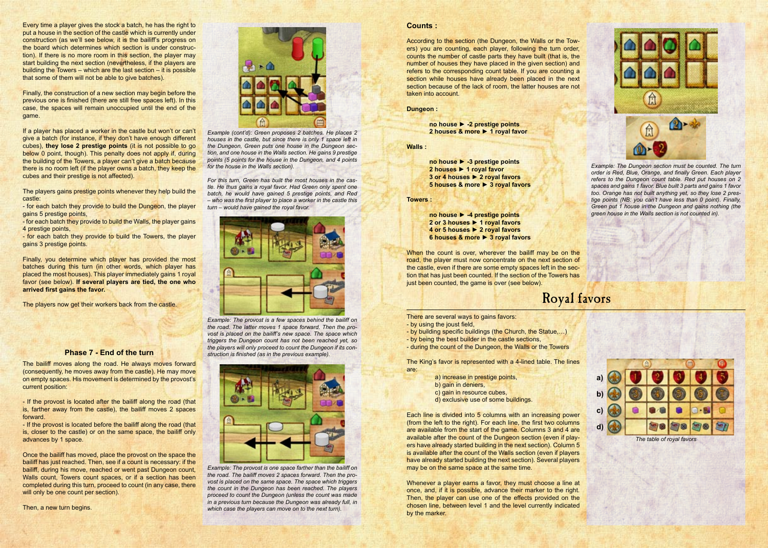Every time a player gives the stock a batch, he has the right to put a house in the section of the castle which is currently under construction (as we'll see below, it is the bailiff's progress on the board which determines which section is under construction). If there is no more room in this section, the player may start building the next section (nevertheless, if the players are building the Towers – which are the last section – it is possible that some of them will not be able to give batches).

Finally, the construction of a new section may begin before the previous one is finished (there are still free spaces left). In this case, the spaces will remain unoccupied until the end of the game.

If a player has placed a worker in the castle but won't or can't give a batch (for instance, if they don't have enough different cubes), **they lose 2 prestige points** (it is not possible to go below 0 point, though). This penalty does not apply if, during the building of the Towers, a player can't give a batch because there is no room left (if the player owns a batch, they keep the cubes and their prestige is not affected).

The players gains prestige points whenever they help build the castle:

- for each batch they provide to build the Dungeon, the player gains 5 prestige points,

- for each batch they provide to build the Walls, the player gains 4 prestige points,

- for each batch they provide to build the Towers, the player gains 3 prestige points.

Finally, you determine which player has provided the most batches during this turn (in other words, which player has placed the most houses). This player immediately gains 1 royal favor (see below). **If several players are tied, the one who arrived first gains the favor.**

The players now get their workers back from the castle.

Once the bailiff has moved, place the provost on the space the bailiff has just reached. Then, see if a count is necessary: if the bailiff, during his move, reached or went past Dungeon count, Walls count, Towers count spaces, or if a section has been completed during this turn, proceed to count (in any case, there will only be one count per section).

#### **Counts :**

According to the section (the Dungeon, the Walls or the Towers) you are counting, each player, following the turn order, counts the number of castle parts they have built (that is, the number of houses they have placed in the given section) and refers to the corresponding count table. If you are counting a section while houses have already been placed in the next section because of the lack of room, the latter houses are not taken into account.

**Dungeon :**

**no house ► -2 prestige points 2 houses & more ► 1 royal favor**

**Walls :**

**no house ► -3 prestige points 2 houses ► 1 royal favor 3 or 4 houses ► 2 royal favors 5 houses & more ► 3 royal favors**

**Towers :**

**no house ► -4 prestige points 2 or 3 houses ► 1 royal favors 4 or 5 houses ► 2 royal favors 6 houses & more ► 3 royal favors**

When the count is over, wherever the bailiff may be on the road, the player must now concentrate on the next section of the castle, even if there are some empty spaces left in the section that has just been counted. If the section of the Towers has just been counted, the game is over (see below).

### **Phase 7 - End of the turn**

The bailiff moves along the road. He always moves forward (consequently, he moves away from the castle). He may move on empty spaces. His movement is determined by the provost's current position:

- If the provost is located after the bailiff along the road (that is, farther away from the castle), the bailiff moves 2 spaces forward.

- If the provost is located before the bailiff along the road (that is, closer to the castle) or on the same space, the bailiff only advances by 1 space.

Then, a new turn begins.



There are several ways to gains favors:

- by using the joust field,
- by building specific buildings (the Church, the Statue,…)
- by being the best builder in the castle sections,
- during the count of the Dungeon, the Walls or the Towers

The King's favor is represented with a 4-lined table. The lines are:

- a) increase in prestige points,
- b) gain in deniers,
- c) gain in resource cubes,
- d) exclusive use of some buildings.

Each line is divided into 5 columns with an increasing power (from the left to the right). For each line, the first two columns are available from the start of the game. Columns 3 and 4 are available after the count of the Dungeon section (even if players have already started building in the next section). Column 5 is available after the count of the Walls section (even if players have already started building the next section). Several players may be on the same space at the same time.

Whenever a player earns a favor, they must choose a line at once, and, if it is possible, advance their marker to the right. Then, the player can use one of the effects provided on the chosen line, between level 1 and the level currently indicated by the marker.



## Royal favors

*Example (cont'd): Green proposes 2 batches. He places 2 houses in the castle, but since there is only 1 space left in the Dungeon, Green puts one house in the Dungeon section, and one house in the Walls section. He gains 9 prestige points (5 points for the house in the Dungeon, and 4 points for the house in the Walls section).* 

*For this turn, Green has built the most houses in the castle. He thus gains a royal favor. Had Green only spent one batch, he would have gained 5 prestige points, and Red – who was the first player to place a worker in the castle this turn – would have gained the royal favor.*



*Example: The provost is a few spaces behind the bailiff on the road. The latter moves 1 space forward. Then the provost is placed on the bailiff's new space. The space which triggers the Dungeon count has not been reached yet, so the players will only proceed to count the Dungeon if its construction is finished (as in the previous example).*



*Example: The provost is one space farther than the bailiff on the road. The bailiff moves 2 spaces forward. Then the provost is placed on the same space. The space which triggers the count in the Dungeon has been reached. The players proceed to count the Dungeon (unless the count was made in a previous turn because the Dungeon was already full, in which case the players can move on to the next turn).*

*Example: The Dungeon section must be counted. The turn order is Red, Blue, Orange, and finally Green. Each player refers to the Dungeon count table. Red put houses on 2 spaces and gains 1 favor. Blue built 3 parts and gains 1 favor too. Orange has not built anything yet, so they lose 2 prestige points (NB: you can't have less than 0 point). Finally, Green put 1 house in the Dungeon and gains nothing (the green house in the Walls section is not counted in).*

*The table of royal favors*

**a)**

**b)**

**c)**

**d)**